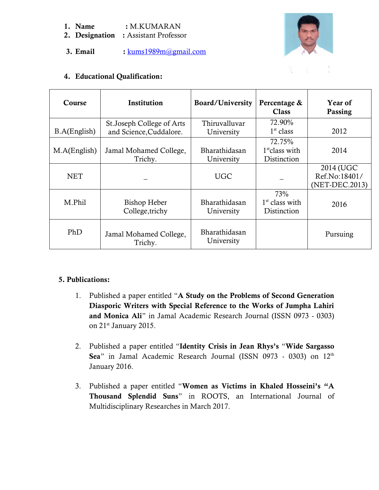### **1. Name :** M.KUMARAN

- **2. Designation :** Assistant Professor
- **3. Email :** [kums1989m@gmail.com](mailto:kums1989m@gmail.com)



# **4. Educational Qualification:**

| Course       | Institution                                           | Board/University            | Percentage &<br><b>Class</b>              | Year of<br>Passing                           |
|--------------|-------------------------------------------------------|-----------------------------|-------------------------------------------|----------------------------------------------|
| B.A(English) | St. Joseph College of Arts<br>and Science, Cuddalore. | Thiruvalluvar<br>University | 72.90%<br>1 <sup>st</sup> class           | 2012                                         |
| M.A(English) | Jamal Mohamed College,<br>Trichy.                     | Bharathidasan<br>University | 72.75%<br>$1st$ class with<br>Distinction | 2014                                         |
| <b>NET</b>   |                                                       | <b>UGC</b>                  |                                           | 2014 (UGC<br>Ref.No:18401/<br>(NET-DEC.2013) |
| M.Phil       | <b>Bishop Heber</b><br>College, trichy                | Bharathidasan<br>University | 73%<br>$1st$ class with<br>Distinction    | 2016                                         |
| PhD          | Jamal Mohamed College,<br>Trichy.                     | Bharathidasan<br>University |                                           | Pursuing                                     |

# **5. Publications:**

- 1. Published a paper entitled "**A Study on the Problems of Second Generation Diasporic Writers with Special Reference to the Works of Jumpha Lahiri and Monica Ali**" in Jamal Academic Research Journal (ISSN 0973 - 0303) on 21<sup>st</sup> January 2015.
- 2. Published a paper entitled "**Identity Crisis in Jean Rhys's** "**Wide Sargasso** Sea" in Jamal Academic Research Journal (ISSN 0973 - 0303) on 12<sup>th</sup> January 2016.
- 3. Published a paper entitled "**Women as Victims in Khaled Hosseini's "A Thousand Splendid Suns**" in ROOTS, an International Journal of Multidisciplinary Researches in March 2017.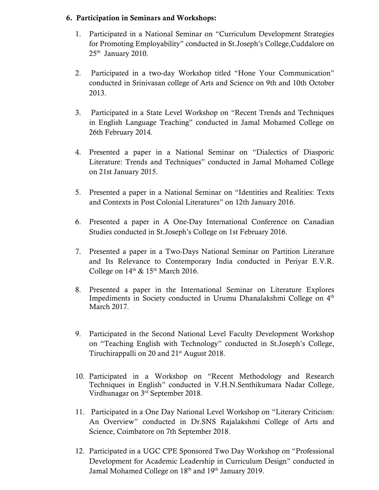## **6. Participation in Seminars and Workshops:**

- 1. Participated in a National Seminar on "Curriculum Development Strategies for Promoting Employability" conducted in St.Joseph's College,Cuddalore on  $25<sup>th</sup>$  January 2010.
- 2. Participated in a two-day Workshop titled "Hone Your Communication" conducted in Srinivasan college of Arts and Science on 9th and 10th October 2013.
- 3. Participated in a State Level Workshop on "Recent Trends and Techniques in English Language Teaching" conducted in Jamal Mohamed College on 26th February 2014.
- 4. Presented a paper in a National Seminar on "Dialectics of Diasporic Literature: Trends and Techniques" conducted in Jamal Mohamed College on 21st January 2015.
- 5. Presented a paper in a National Seminar on "Identities and Realities: Texts and Contexts in Post Colonial Literatures" on 12th January 2016.
- 6. Presented a paper in A One-Day International Conference on Canadian Studies conducted in St.Joseph's College on 1st February 2016.
- 7. Presented a paper in a Two-Days National Seminar on Partition Literature and Its Relevance to Contemporary India conducted in Periyar E.V.R. College on  $14<sup>th</sup>$  &  $15<sup>th</sup>$  March 2016.
- 8. Presented a paper in the International Seminar on Literature Explores Impediments in Society conducted in Urumu Dhanalakshmi College on 4<sup>th</sup> March 2017.
- 9. Participated in the Second National Level Faculty Development Workshop on "Teaching English with Technology" conducted in St.Joseph's College, Tiruchirappalli on 20 and  $21<sup>st</sup>$  August 2018.
- 10. Participated in a Workshop on "Recent Methodology and Research Techniques in English" conducted in V.H.N.Senthikumara Nadar College, Virdhunagar on 3rd September 2018.
- 11. Participated in a One Day National Level Workshop on "Literary Criticism: An Overview" conducted in Dr.SNS Rajalakshmi College of Arts and Science, Coimbatore on 7th September 2018.
- 12. Participated in a UGC CPE Sponsored Two Day Workshop on "Professional Development for Academic Leadership in Curriculum Design" conducted in Jamal Mohamed College on  $18<sup>th</sup>$  and  $19<sup>th</sup>$  January 2019.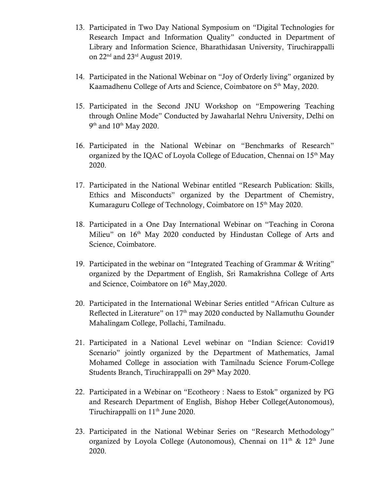- 13. Participated in Two Day National Symposium on "Digital Technologies for Research Impact and Information Quality" conducted in Department of Library and Information Science, Bharathidasan University, Tiruchirappalli on 22<sup>nd</sup> and 23<sup>rd</sup> August 2019.
- 14. Participated in the National Webinar on "Joy of Orderly living" organized by Kaamadhenu College of Arts and Science, Coimbatore on 5<sup>th</sup> May, 2020.
- 15. Participated in the Second JNU Workshop on "Empowering Teaching through Online Mode" Conducted by Jawaharlal Nehru University, Delhi on  $9<sup>th</sup>$  and  $10<sup>th</sup>$  May 2020.
- 16. Participated in the National Webinar on "Benchmarks of Research" organized by the IQAC of Loyola College of Education, Chennai on 15<sup>th</sup> May 2020.
- 17. Participated in the National Webinar entitled "Research Publication: Skills, Ethics and Misconducts" organized by the Department of Chemistry, Kumaraguru College of Technology, Coimbatore on 15<sup>th</sup> May 2020.
- 18. Participated in a One Day International Webinar on "Teaching in Corona Milieu" on 16<sup>th</sup> May 2020 conducted by Hindustan College of Arts and Science, Coimbatore.
- 19. Participated in the webinar on "Integrated Teaching of Grammar & Writing" organized by the Department of English, Sri Ramakrishna College of Arts and Science, Coimbatore on 16<sup>th</sup> May, 2020.
- 20. Participated in the International Webinar Series entitled "African Culture as Reflected in Literature" on 17<sup>th</sup> may 2020 conducted by Nallamuthu Gounder Mahalingam College, Pollachi, Tamilnadu.
- 21. Participated in a National Level webinar on "Indian Science: Covid19 Scenario" jointly organized by the Department of Mathematics, Jamal Mohamed College in association with Tamilnadu Science Forum-College Students Branch, Tiruchirappalli on 29<sup>th</sup> May 2020.
- 22. Participated in a Webinar on "Ecotheory : Naess to Estok" organized by PG and Research Department of English, Bishop Heber College(Autonomous), Tiruchirappalli on 11<sup>th</sup> June 2020.
- 23. Participated in the National Webinar Series on "Research Methodology" organized by Loyola College (Autonomous), Chennai on  $11<sup>th</sup>$  &  $12<sup>th</sup>$  June 2020.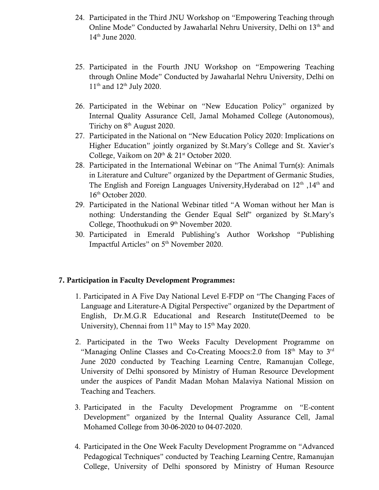- 24. Participated in the Third JNU Workshop on "Empowering Teaching through Online Mode" Conducted by Jawaharlal Nehru University, Delhi on 13<sup>th</sup> and 14th June 2020.
- 25. Participated in the Fourth JNU Workshop on "Empowering Teaching through Online Mode" Conducted by Jawaharlal Nehru University, Delhi on  $11<sup>th</sup>$  and  $12<sup>th</sup>$  July 2020.
- 26. Participated in the Webinar on "New Education Policy" organized by Internal Quality Assurance Cell, Jamal Mohamed College (Autonomous), Tirichy on  $8<sup>th</sup>$  August 2020.
- 27. Participated in the National on "New Education Policy 2020: Implications on Higher Education" jointly organized by St.Mary's College and St. Xavier's College, Vaikom on  $20<sup>th</sup>$  &  $21<sup>st</sup>$  October 2020.
- 28. Participated in the International Webinar on "The Animal Turn(s): Animals in Literature and Culture" organized by the Department of Germanic Studies, The English and Foreign Languages University, Hyderabad on 12<sup>th</sup> ,14<sup>th</sup> and 16th October 2020.
- 29. Participated in the National Webinar titled "A Woman without her Man is nothing: Understanding the Gender Equal Self" organized by St.Mary's College, Thoothukudi on 9<sup>th</sup> November 2020.
- 30. Participated in Emerald Publishing's Author Workshop "Publishing Impactful Articles" on 5<sup>th</sup> November 2020.

### **7. Participation in Faculty Development Programmes:**

- 1. Participated in A Five Day National Level E-FDP on "The Changing Faces of Language and Literature-A Digital Perspective" organized by the Department of English, Dr.M.G.R Educational and Research Institute(Deemed to be University), Chennai from  $11<sup>th</sup>$  May to  $15<sup>th</sup>$  May 2020.
- 2. Participated in the Two Weeks Faculty Development Programme on "Managing Online Classes and Co-Creating Moocs:2.0 from 18<sup>th</sup> May to 3<sup>rd</sup> June 2020 conducted by Teaching Learning Centre, Ramanujan College, University of Delhi sponsored by Ministry of Human Resource Development under the auspices of Pandit Madan Mohan Malaviya National Mission on Teaching and Teachers.
- 3. Participated in the Faculty Development Programme on "E-content Development" organized by the Internal Quality Assurance Cell, Jamal Mohamed College from 30-06-2020 to 04-07-2020.
- 4. Participated in the One Week Faculty Development Programme on "Advanced Pedagogical Techniques" conducted by Teaching Learning Centre, Ramanujan College, University of Delhi sponsored by Ministry of Human Resource